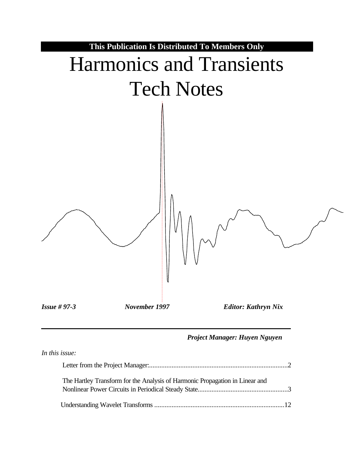

#### *Project Manager: Huyen Nguyen*

| In this issue:                                                               |  |
|------------------------------------------------------------------------------|--|
|                                                                              |  |
| The Hartley Transform for the Analysis of Harmonic Propagation in Linear and |  |
|                                                                              |  |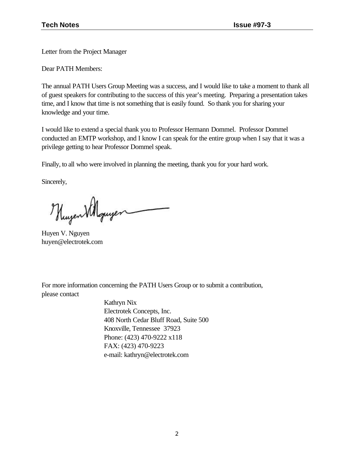Letter from the Project Manager

Dear PATH Members:

The annual PATH Users Group Meeting was a success, and I would like to take a moment to thank all of guest speakers for contributing to the success of this year's meeting. Preparing a presentation takes time, and I know that time is not something that is easily found. So thank you for sharing your knowledge and your time.

I would like to extend a special thank you to Professor Hermann Dommel. Professor Dommel conducted an EMTP workshop, and I know I can speak for the entire group when I say that it was a privilege getting to hear Professor Dommel speak.

Finally, to all who were involved in planning the meeting, thank you for your hard work.

Sincerely,

Huzen Villquyer

Huyen V. Nguyen huyen@electrotek.com

For more information concerning the PATH Users Group or to submit a contribution, please contact

> Kathryn Nix Electrotek Concepts, Inc. 408 North Cedar Bluff Road, Suite 500 Knoxville, Tennessee 37923 Phone: (423) 470-9222 x118 FAX: (423) 470-9223 e-mail: kathryn@electrotek.com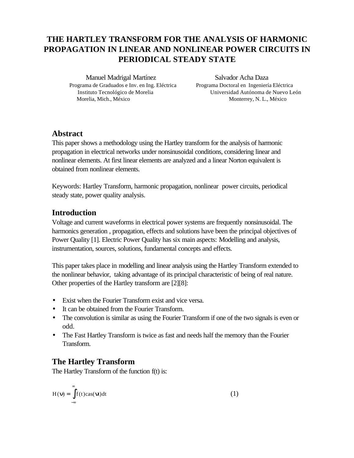# **THE HARTLEY TRANSFORM FOR THE ANALYSIS OF HARMONIC PROPAGATION IN LINEAR AND NONLINEAR POWER CIRCUITS IN PERIODICAL STEADY STATE**

Manuel Madrigal Martínez Salvador Acha Daza Programa de Graduados e Inv. en Ing. Eléctrica Programa Doctoral en Ingeniería Eléctrica Morelia, Mich., México Monterrey, N. L., México

Instituto Tecnológico de Morelia Universidad Autónoma de Nuevo León

### **Abstract**

This paper shows a methodology using the Hartley transform for the analysis of harmonic propagation in electrical networks under nonsinusoidal conditions, considering linear and nonlinear elements. At first linear elements are analyzed and a linear Norton equivalent is obtained from nonlinear elements.

Keywords: Hartley Transform, harmonic propagation, nonlinear power circuits, periodical steady state, power quality analysis.

# **Introduction**

Voltage and current waveforms in electrical power systems are frequently nonsinusoidal. The harmonics generation , propagation, effects and solutions have been the principal objectives of Power Quality [1]. Electric Power Quality has six main aspects: Modelling and analysis, instrumentation, sources, solutions, fundamental concepts and effects.

This paper takes place in modelling and linear analysis using the Hartley Transform extended to the nonlinear behavior, taking advantage of its principal characteristic of being of real nature. Other properties of the Hartley transform are [2][8]:

- Exist when the Fourier Transform exist and vice versa.
- It can be obtained from the Fourier Transform.
- The convolution is similar as using the Fourier Transform if one of the two signals is even or odd.
- The Fast Hartley Transform is twice as fast and needs half the memory than the Fourier Transform.

# **The Hartley Transform**

The Hartley Transform of the function f(t) is:

$$
H(\mathbf{n}) = \int_{-\infty}^{\infty} f(t) \cos(\mathbf{n}) dt
$$
 (1)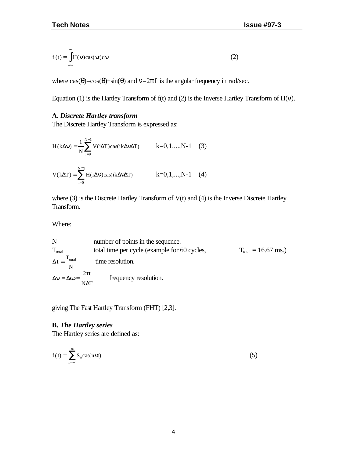$$
f(t) = \int_{-\infty}^{\infty} H(n) \cos(\mathbf{n}) d\mathbf{n}
$$
 (2)

where  $\cos(\theta) = \cos(\theta) + \sin(\theta)$  and  $v = 2\pi f$  is the angular frequency in rad/sec.

Equation (1) is the Hartley Transform of  $f(t)$  and (2) is the Inverse Hartley Transform of  $H(v)$ .

#### **A.** *Discrete Hartley transform*

The Discrete Hartley Transform is expressed as:

$$
H(k\Delta n) = \frac{1}{N} \sum_{i=0}^{N-1} V(i\Delta T) \cos(ik\Delta n\Delta T) \qquad k=0,1,...,N-1 \quad (3)
$$
  

$$
V(k\Delta T) = \sum_{i=0}^{N-1} H(i\Delta n) \cos(ik\Delta n\Delta T) \qquad k=0,1,...,N-1 \quad (4)
$$

where (3) is the Discrete Hartley Transform of V(t) and (4) is the Inverse Discrete Hartley Transform.

Where:

N number of points in the sequence.  
\n
$$
T_{\text{total}}
$$
 total time per cycle (example for 60 cycles,  $\Delta T = \frac{T_{\text{total}}}{N}$  time resolution.  
\n $\Delta \mathbf{n} = \Delta \mathbf{w} = \frac{2\mathbf{p}}{N\Delta T}$  frequency resolution.

giving The Fast Hartley Transform (FHT) [2,3].

#### **B.** *The Hartley series*

The Hartley series are defined as:

$$
f(t) = \sum_{n = -\infty}^{\infty} S_n \text{cas}(n\mathbf{\pi})
$$
 (5)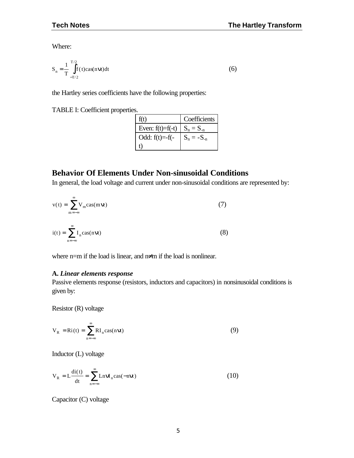Where:

$$
S_n = \frac{1}{T} \int_{-T/2}^{T/2} f(t) \cos(n\pi t) dt
$$
 (6)

the Hartley series coefficients have the following properties:

TABLE I: Coefficient properties.

| f(t)               | Coefficients   |
|--------------------|----------------|
| Even: $f(t)=f(-t)$ | $S_n = S_{-n}$ |
| Odd: $f(t) = -f(-$ | $S_n = -S_n$   |
|                    |                |

# **Behavior Of Elements Under Non-sinusoidal Conditions**

In general, the load voltage and current under non-sinusoidal conditions are represented by:

$$
v(t) = \sum_{m = -\infty}^{\infty} V_m \text{cas}(m\mathbf{n})
$$
(7)  

$$
i(t) = \sum_{m = -\infty}^{\infty} I_n \text{cas}(n\mathbf{n})
$$
(8)

where n=m if the load is linear, and n≠m if the load is nonlinear.

#### **A.** *Linear elements response*

Passive elements response (resistors, inductors and capacitors) in nonsinusoidal conditions is given by:

Resistor (R) voltage

n =−∞

$$
V_R = Ri(t) = \sum_{n = -\infty}^{\infty} RI_n \cos(n\pi)
$$
 (9)

Inductor (L) voltage

$$
V_R = L \frac{di(t)}{dt} = \sum_{n = -\infty}^{\infty} L n \mathbf{I} \mathbf{I}_n \cos(-n \mathbf{I} \mathbf{I})
$$
 (10)

Capacitor (C) voltage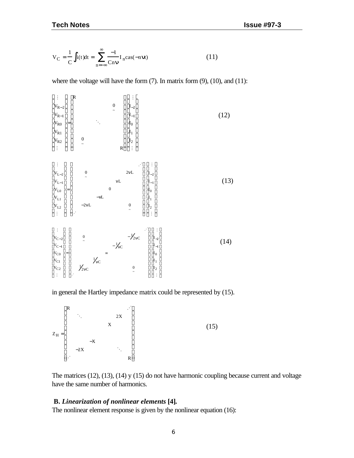$$
V_C = \frac{1}{C} \int i(t)dt = \sum_{n=-\infty}^{\infty} \frac{-1}{Cn\mathbf{n}} I_n \text{cas}(-n\mathbf{n})
$$
(11)

where the voltage will have the form  $(7)$ . In matrix form  $(9)$ ,  $(10)$ , and  $(11)$ :



in general the Hartley impedance matrix could be represented by (15).



The matrices (12), (13), (14) y (15) do not have harmonic coupling because current and voltage have the same number of harmonics.

#### **B.** *Linearization of nonlinear elements* **[4]***.*

The nonlinear element response is given by the nonlinear equation (16):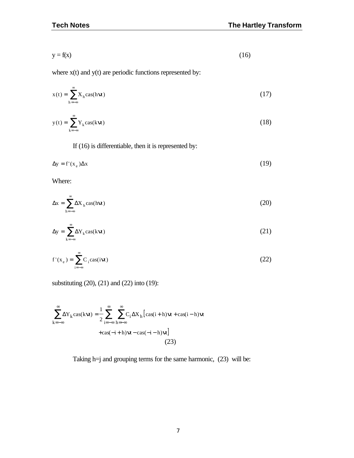$$
y = f(x) \tag{16}
$$

where  $x(t)$  and  $y(t)$  are periodic functions represented by:

$$
x(t) = \sum_{h=-\infty}^{\infty} X_h \cos(h \mathbf{\pi})
$$
 (17)

$$
y(t) = \sum_{k=-\infty}^{\infty} Y_k \cos(k\mathbf{\pi})
$$
 (18)

If (16) is differentiable, then it is represented by:

$$
\Delta y = f'(x_e) \Delta x \tag{19}
$$

Where:

$$
\Delta x = \sum_{h=-\infty}^{\infty} \Delta X_h \cos(h \mathbf{\mathcal{H}})
$$
 (20)

$$
\Delta y = \sum_{k=-\infty}^{\infty} \Delta Y_k \cos(k \mathbf{\pi})
$$
 (21)

$$
f'(x_e) = \sum_{i=-\infty}^{\infty} C_i \text{cas}(i\mathbf{n})
$$
 (22)

substituting (20), (21) and (22) into (19):

$$
\sum_{k=-\infty}^{\infty} \Delta Y_k \cos(k\boldsymbol{\pi}) = \frac{1}{2} \sum_{i=-\infty}^{\infty} \sum_{h=-\infty}^{\infty} C_i \Delta X_h [\cos(i+h)\boldsymbol{\pi} + \cos(i-h)\boldsymbol{\pi} + \cos(-i+h)\boldsymbol{\pi}]
$$
  
+  $\cos(-i+h)\boldsymbol{\pi} - \cos(-i-h)\boldsymbol{\pi}]$  (23)

Taking h=j and grouping terms for the same harmonic, (23) will be: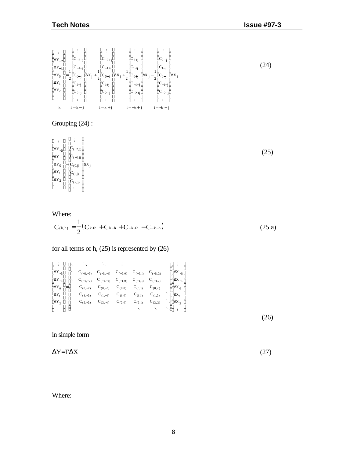

#### Grouping (24) :

 $\vert \hspace{.1cm} \vert$  $\lfloor \ \cdot \rfloor$  $\mathbb{R}^n$  $\pm$  $\Delta Y_{-}$  $\vert \Delta Y_{-1} \vert \vert C_{(-1, j)}$  $\begin{bmatrix} \Delta Y_0 \\ \Delta Y_0 \end{bmatrix} = \begin{bmatrix} \Delta X_j \\ C_{(0,j)} \end{bmatrix} \Delta X_j$  $\vert \Delta Y_1 \vert \vert C_{(1,j)}$  $\Delta Y_2$  $C_{(-2, j)}$  $\rm{C_{(2, j)}}$  $\vert_{\Delta Y_{-2}}\vert$  $\overline{\phantom{a}}$  $\overline{\phantom{a}}$ I L  $|c_{(-2,j)}|$  $\begin{bmatrix} 2 \\ 1 \end{bmatrix}$   $\begin{bmatrix} 2, y \\ C_{(-1, j)} \end{bmatrix}$  $\begin{array}{c} \begin{array}{c} 1 \\ 1 \end{array} \end{array}$   $\begin{array}{c} \begin{array}{c} \begin{array}{c} 0 \\ 1 \end{array} \\ \end{array}$  $C_{(2, j)}^{(2)}$  $\overline{\phantom{a}}$ J  $\overline{\phantom{a}}$  $\overline{\phantom{a}}$  $\overline{\phantom{a}}$  $\overline{\phantom{a}}$ 

#### Where:

$$
C_{(k,h)} = \frac{1}{2} (C_{k+h} + C_{k-h} + C_{-k+h} - C_{-k-h})
$$
\n(25. a)

#### for all terms of h, (25) is represented by (26)

|  | $\begin{bmatrix} \vdots\\ \Delta\mathbf{Y}_{-2}\\ \Delta\mathbf{Y}_{-1}\\ \Delta\mathbf{Y}_{-1}\\ \Delta\mathbf{Y}_{0}\\ \Delta\mathbf{Y}_{1}\\ \Delta\mathbf{Y}_{2}\\ \Delta\mathbf{Y}_{2}\\ \vdots \end{bmatrix} \begin{bmatrix} \ddots & \ddots & \ddots & \vdots\\ \ddots & \ddots & \ddots & \ddots\\ \mathbf{C}_{(-2,-2)} & \mathbf{C}_{(-2,-1)} & \mathbf{C}_{(-2,0)} & \mathbf{C}_{(-2,1)} & \mathbf{C}_{(-2,2)}\\ \ddots & \mathbf{C}_{(-1,-2)} & \mathbf{C}_{(-1,-1)} & \math$ |  |  |  |
|--|------------------------------------------------------------------------------------------------------------------------------------------------------------------------------------------------------------------------------------------------------------------------------------------------------------------------------------------------------------------------------------------------------------------------------------------------------------------------------------------|--|--|--|
|  |                                                                                                                                                                                                                                                                                                                                                                                                                                                                                          |  |  |  |
|  |                                                                                                                                                                                                                                                                                                                                                                                                                                                                                          |  |  |  |
|  |                                                                                                                                                                                                                                                                                                                                                                                                                                                                                          |  |  |  |
|  |                                                                                                                                                                                                                                                                                                                                                                                                                                                                                          |  |  |  |
|  |                                                                                                                                                                                                                                                                                                                                                                                                                                                                                          |  |  |  |
|  |                                                                                                                                                                                                                                                                                                                                                                                                                                                                                          |  |  |  |
|  |                                                                                                                                                                                                                                                                                                                                                                                                                                                                                          |  |  |  |

in simple form

 $\Delta Y = F \Delta X$  (27)

Where:

(24)

(25)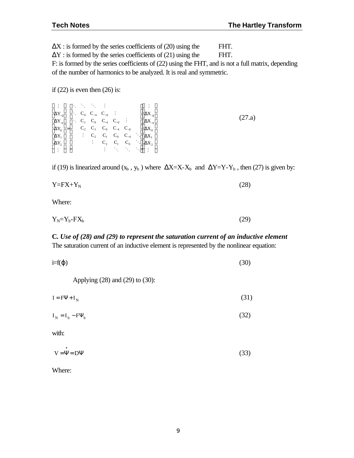$\Delta X$ : is formed by the series coefficients of (20) using the FHT.

 $\Delta Y$ : is formed by the series coefficients of (21) using the FHT.

F: is formed by the series coefficients of (22) using the FHT, and is not a full matrix, depending of the number of harmonics to be analyzed. It is real and symmetric.

if  $(22)$  is even then  $(26)$  is:

| $\begin{bmatrix} \vdots \\ \Delta Y_{-2} \\ \Delta Y_{-1} \\ \Delta Y_{0} \\ \Delta Y_{1} \\ \Delta Y_{1} \\ \Delta Y_{2} \\ \vdots \end{bmatrix} = \left[ \begin{array}{cccccc} \ddots & \ddots & \ddots & \vdots \\ \ddots & C_0 & C_{-1} & C_{-2} & \vdots \\ \ddots & C_1 & C_0 & C_{-1} & C_{-2} & \vdots \\ \ddots & C_2 & C_1 & C_0 & C_{-1} & C_{-2} \\ \vdots & \vdots & C_2 & C_1 & C_0 & C_{-1} & \ddots \\ \vdots & \vdots & \vdots & \ddots & \ddots$ |  |  |  |  |
|--------------------------------------------------------------------------------------------------------------------------------------------------------------------------------------------------------------------------------------------------------------------------------------------------------------------------------------------------------------------------------------------------------------------------------------------------------------------|--|--|--|--|
|                                                                                                                                                                                                                                                                                                                                                                                                                                                                    |  |  |  |  |

if (19) is linearized around  $(x_b, y_b)$  where  $\Delta X=X-X_b$  and  $\Delta Y=Y-Y_b$ , then (27) is given by:

$$
Y = FX + Y_N \tag{28}
$$

Where:

$$
Y_N = Y_b - FX_b \tag{29}
$$

#### **C.** *Use of (28) and (29) to represent the saturation current of an inductive element* The saturation current of an inductive element is represented by the nonlinear equation:

| $i=f(\varphi)$ | (30) |
|----------------|------|
|                |      |

Applying (28) and (29) to (30):

 $I = F\Psi + I_N$  (31)

$$
I_N = I_b - F\Psi_b \tag{32}
$$

with:

| $V = \Psi = D\Psi$ | (33) |
|--------------------|------|

Where: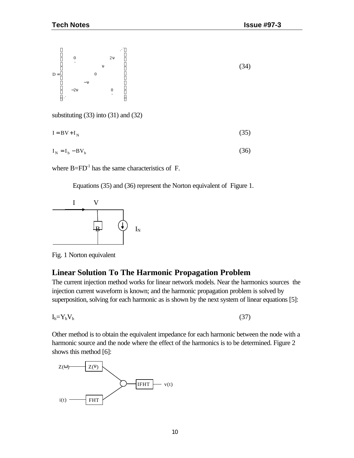

substituting (33) into (31) and (32)

$$
I = BV + I_N \tag{35}
$$

$$
I_N = I_b - BV_b \tag{36}
$$

where  $B=FD^{-1}$  has the same characteristics of F.

Equations (35) and (36) represent the Norton equivalent of Figure 1.



Fig. 1 Norton equivalent

#### **Linear Solution To The Harmonic Propagation Problem**

The current injection method works for linear network models. Near the harmonics sources the injection current waveform is known; and the harmonic propagation problem is solved by superposition, solving for each harmonic as is shown by the next system of linear equations [5]:

 $I_h = Y_h V_h$  (37)

Other method is to obtain the equivalent impedance for each harmonic between the node with a harmonic source and the node where the effect of the harmonics is to be determined. Figure 2 shows this method [6]:

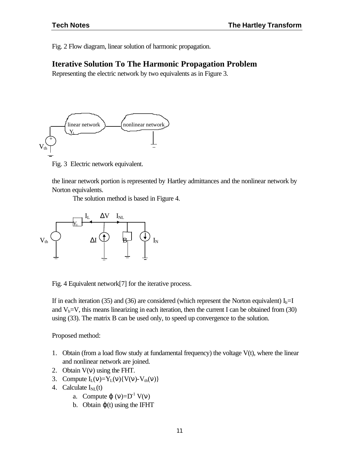Fig. 2 Flow diagram, linear solution of harmonic propagation.

#### **Iterative Solution To The Harmonic Propagation Problem**

Representing the electric network by two equivalents as in Figure 3.



Fig. 3 Electric network equivalent.

the linear network portion is represented by Hartley admittances and the nonlinear network by Norton equivalents.

The solution method is based in Figure 4.



Fig. 4 Equivalent network[7] for the iterative process.

If in each iteration (35) and (36) are considered (which represent the Norton equivalent)  $I_b=I$ and  $V_b=V$ , this means linearizing in each iteration, then the current I can be obtained from (30) using (33). The matrix B can be used only, to speed up convergence to the solution.

Proposed method:

- 1. Obtain (from a load flow study at fundamental frequency) the voltage  $V(t)$ , where the linear and nonlinear network are joined.
- 2. Obtain  $V(v)$  using the FHT.
- 3. Compute  $I_L(v)=Y_L(v)\{V(v)-V_{th}(v)\}\$
- 4. Calculate  $I_{NL}(t)$ 
	- a. Compute  $\varphi(v)=D^{-1} V(v)$
	- b. Obtain  $\varphi(t)$  using the IFHT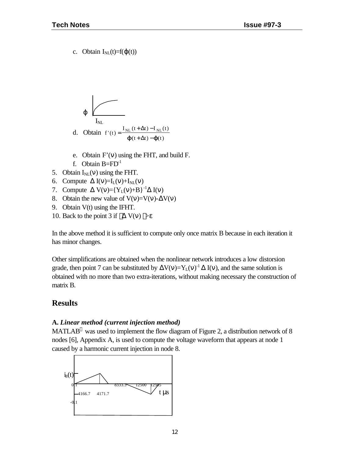c. Obtain  $I_{NL}(t)=f(\varphi(t))$ 

$$
\varphi
$$
\n
$$
I_{\text{NL}}
$$
\nd. Obtain  $f'(t) = \frac{I_{\text{NL}}(t + \Delta t) - I_{\text{NL}}(t)}{j(t + \Delta t) - j(t)}$ 

- e. Obtain  $F'(v)$  using the FHT, and build F.
- f. Obtain  $B=FD^{-1}$
- 5. Obtain  $I_{NL}(v)$  using the FHT.
- 6. Compute  $\Delta I(v)=I_L(v)+I_{NL}(v)$
- 7. Compute  $\Delta V(v) = {Y_L(v) + B}^{-1} \Delta I(v)$
- 8. Obtain the new value of  $V(v)=V(v)-\Delta V(v)$
- 9. Obtain V(t) using the IFHT.
- 10. Back to the point 3 if  $\vert \Delta V(v) \vert > \epsilon$

In the above method it is sufficient to compute only once matrix B because in each iteration it has minor changes.

Other simplifications are obtained when the nonlinear network introduces a low distorsion grade, then point 7 can be substituted by  $\Delta V(v)=Y_L(v)^{-1} \Delta I(v)$ , and the same solution is obtained with no more than two extra-iterations, without making necessary the construction of matrix B.

# **Results**

#### **A.** *Linear method (current injection method)*

MATLAB<sup>®</sup> was used to implement the flow diagram of Figure 2, a distribution network of 8 nodes [6], Appendix A, is used to compute the voltage waveform that appears at node 1 caused by a harmonic current injection in node 8.

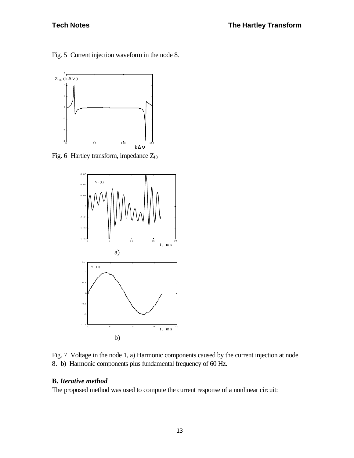Fig. 5 Current injection waveform in the node 8.



Fig. 6 Hartley transform, impedance  $Z_{18}$ 



Fig. 7 Voltage in the node 1, a) Harmonic components caused by the current injection at node 8. b) Harmonic components plus fundamental frequency of 60 Hz.

#### **B.** *Iterative method*

The proposed method was used to compute the current response of a nonlinear circuit: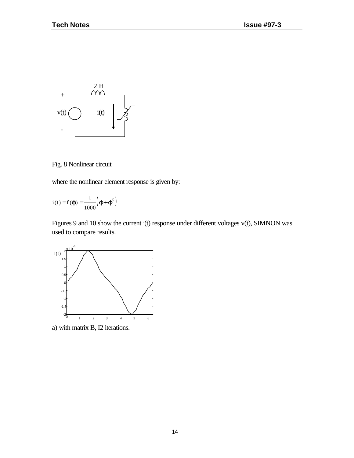

Fig. 8 Nonlinear circuit

where the nonlinear element response is given by:

$$
i(t) = f(\boldsymbol{j}) = \frac{1}{1000} (\boldsymbol{j} + \boldsymbol{j}^5)
$$

Figures 9 and 10 show the current i(t) response under different voltages v(t), SIMNON was used to compare results.



a) with matrix B, I2 iterations.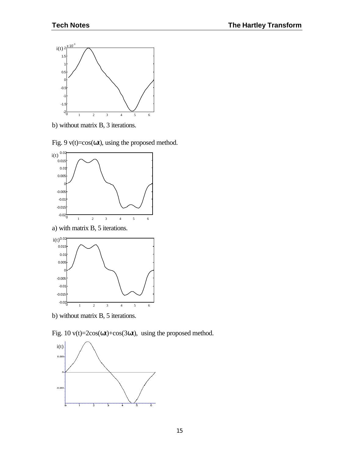

b) without matrix B, 3 iterations.

Fig. 9  $v(t)=cos(\omega t)$ , using the proposed method.



a) with matrix B, 5 iterations.



b) without matrix B, 5 iterations.

Fig. 10  $v(t)=2\cos(\omega t)+\cos(3\omega t)$ , using the proposed method.

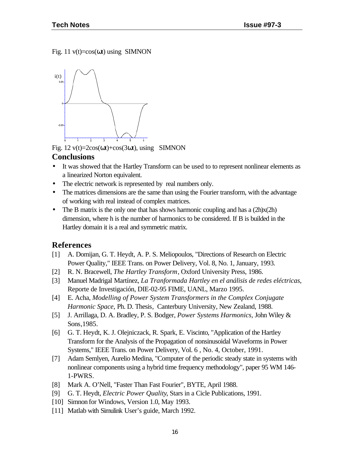Fig. 11  $v(t) = cos(\omega t)$  using SIMNON



Fig.  $12 \text{ v}(t) = 2\cos(\omega t) + \cos(3\omega t)$ , using SIMNON

#### **Conclusions**

- It was showed that the Hartley Transform can be used to to represent nonlinear elements as a linearized Norton equivalent.
- The electric network is represented by real numbers only.
- The matrices dimensions are the same than using the Fourier transform, with the advantage of working with real instead of complex matrices.
- The B matrix is the only one that has shows harmonic coupling and has a  $(2h)x(2h)$ dimension, where h is the number of harmonics to be considered. If B is builded in the Hartley domain it is a real and symmetric matrix.

#### **References**

- [1] A. Domijan, G. T. Heydt, A. P. S. Meliopoulos, "Directions of Research on Electric Power Quality," IEEE Trans. on Power Delivery, Vol. 8, No. 1, January, 1993.
- [2] R. N. Bracewell, *The Hartley Transform*, Oxford University Press, 1986.
- [3] Manuel Madrigal Martínez, *La Tranformada Hartley en el análisis de redes eléctricas*, Reporte de Investigación, DIE-02-95 FIME, UANL, Marzo 1995.
- [4] E. Acha, *Modelling of Power System Transformers in the Complex Conjugate Harmonic Space*, Ph. D. Thesis, Canterbury University, New Zealand, 1988.
- [5] J. Arrillaga, D. A. Bradley, P. S. Bodger, *Power Systems Harmonics,* John Wiley & Sons,1985.
- [6] G. T. Heydt, K. J. Olejniczack, R. Spark, E. Viscinto, "Application of the Hartley Transform for the Analysis of the Propagation of nonsinusoidal Waveforms in Power Systems," IEEE Trans. on Power Delivery, Vol. 6 , No. 4, October, 1991.
- [7] Adam Semlyen, Aurelio Medina, "Computer of the periodic steady state in systems with nonlinear components using a hybrid time frequency methodology", paper 95 WM 146- 1-PWRS.
- [8] Mark A. O'Nell, "Faster Than Fast Fourier", BYTE, April 1988.
- [9] G. T. Heydt, *Electric Power Quality*, Stars in a Cicle Publications, 1991.
- [10] Simnon for Windows, Version 1.0, May 1993.
- [11] Matlab with Simulink User's guide, March 1992.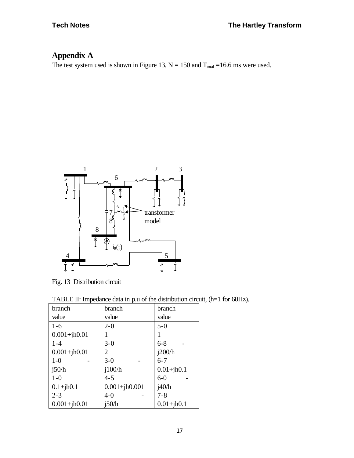# **Appendix A**

The test system used is shown in Figure 13,  $N = 150$  and  $T_{total} = 16.6$  ms were used.



Fig. 13 Distribution circuit

| TABLE II: Impedance data in p.u of the distribution circuit, (h=1 for 60Hz). |  |  |
|------------------------------------------------------------------------------|--|--|
|------------------------------------------------------------------------------|--|--|

| branch           | branch            | branch         |
|------------------|-------------------|----------------|
| value            | value             | value          |
| $1-6$            | $2 - 0$           | $5 - 0$        |
| $0.001 + jh0.01$ |                   |                |
| $1 - 4$          | $3-0$             | $6 - 8$        |
| $0.001 + jh0.01$ | 2                 | i200/h         |
| $1-0$            | $3-0$             | $6 - 7$        |
| i50/h            | i100/h            | $0.01 + jh0.1$ |
| $1-0$            | $4 - 5$           | $6-0$          |
| $0.1 + jh0.1$    | $0.001 + jh0.001$ | i40/h          |
| $2 - 3$          | $4 - 0$           | $7 - 8$        |
| $0.001 + jh0.01$ | i50/h             | $0.01 + jh0.1$ |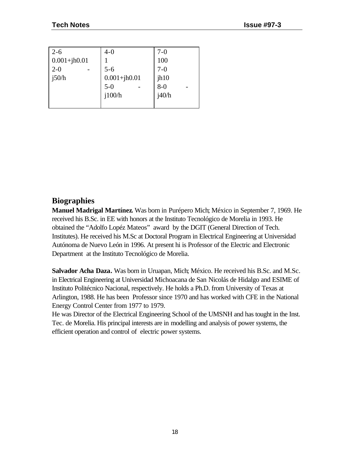| $2 - 6$                     | $4 - 0$                   | $7-0$         |
|-----------------------------|---------------------------|---------------|
| $0.001 + jh0.01$<br>$2 - 0$ | $5 - 6$                   | 100<br>$7-0$  |
| j50/h                       | $0.001 + jh0.01$<br>$5-0$ | jh10<br>$8-0$ |
|                             | i100/h                    | i40/h         |

# **Biographies**

**Manuel Madrigal Martínez.** Was born in Purépero Mich; México in September 7, 1969. He received his B.Sc. in EE with honors at the Instituto Tecnológico de Morelia in 1993. He obtained the "Adolfo Lopéz Mateos" award by the DGIT (General Direction of Tech. Institutes). He received his M.Sc at Doctoral Program in Electrical Engineering at Universidad Autónoma de Nuevo León in 1996. At present hi is Professor of the Electric and Electronic Department at the Instituto Tecnológico de Morelia.

**Salvador Acha Daza.** Was born in Uruapan, Mich; México. He received his B.Sc. and M.Sc. in Electrical Engineering at Universidad Michoacana de San Nicolás de Hidalgo and ESIME of Instituto Politécnico Nacional, respectively. He holds a Ph.D. from University of Texas at Arlington, 1988. He has been Professor since 1970 and has worked with CFE in the National Energy Control Center from 1977 to 1979.

He was Director of the Electrical Engineering School of the UMSNH and has tought in the Inst. Tec. de Morelia. His principal interests are in modelling and analysis of power systems, the efficient operation and control of electric power systems.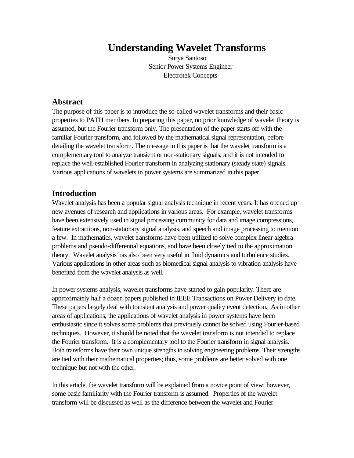# **Understanding Wavelet Transforms**

Surya Santoso Senior Power Systems Engineer Electrotek Concepts

#### **Abstract**

The purpose of this paper is to introduce the so-called wavelet transforms and their basic properties to PATH members. In preparing this paper, no prior knowledge of wavelet theory is assumed, but the Fourier transform only. The presentation of the paper starts off with the familiar Fourier transform, and followed by the mathematical signal representation, before detailing the wavelet transform. The message in this paper is that the wavelet transform is a complementary tool to analyze transient or non-stationary signals, and it is not intended to replace the well-established Fourier transform in analyzing stationary (steady state) signals. Various applications of wavelets in power systems are summarized in this paper.

# **Introduction**

Wavelet analysis has been a popular signal analysis technique in recent years. It has opened up new avenues of research and applications in various areas. For example, wavelet transforms have been extensively used in signal processing community for data and image compressions, feature extractions, non-stationary signal analysis, and speech and image processing to mention a few. In mathematics, wavelet transforms have been utilized to solve complex linear algebra problems and pseudo-differential equations, and have been closely tied to the approximation theory. Wavelet analysis has also been very useful in fluid dynamics and turbulence studies. Various applications in other areas such as biomedical signal analysis to vibration analysis have benefited from the wavelet analysis as well.

In power systems analysis, wavelet transforms have started to gain popularity. There are approximately half a dozen papers published in IEEE Transactions on Power Delivery to date. These papers largely deal with transient analysis and power quality event detection. As in other areas of applications, the applications of wavelet analysis in power systems have been enthusiastic since it solves some problems that previously cannot be solved using Fourier-based techniques. However, it should be noted that the wavelet transform is not intended to replace the Fourier transform. It is a complementary tool to the Fourier transform in signal analysis. Both transforms have their own unique strengths in solving engineering problems. Their strengths are tied with their mathematical properties; thus, some problems are better solved with one technique but not with the other.

In this article, the wavelet transform will be explained from a novice point of view; however, some basic familiarity with the Fourier transform is assumed. Properties of the wavelet transform will be discussed as well as the difference between the wavelet and Fourier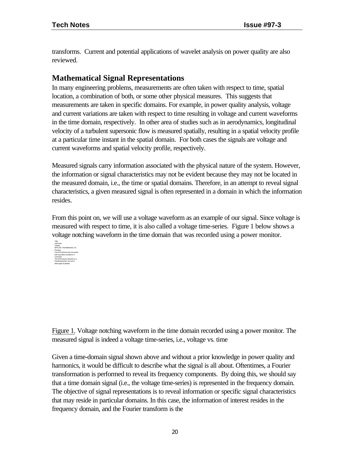transforms. Current and potential applications of wavelet analysis on power quality are also reviewed.

# **Mathematical Signal Representations**

In many engineering problems, measurements are often taken with respect to time, spatial location, a combination of both, or some other physical measures. This suggests that measurements are taken in specific domains. For example, in power quality analysis, voltage and current variations are taken with respect to time resulting in voltage and current waveforms in the time domain, respectively. In other area of studies such as in aerodynamics, longitudinal velocity of a turbulent supersonic flow is measured spatially, resulting in a spatial velocity profile at a particular time instant in the spatial domain. For both cases the signals are voltage and current waveforms and spatial velocity profile, respectively.

Measured signals carry information associated with the physical nature of the system. However, the information or signal characteristics may not be evident because they may not be located in the measured domain, i.e., the time or spatial domains. Therefore, in an attempt to reveal signal characteristics, a given measured signal is often represented in a domain in which the information resides.

From this point on, we will use a voltage waveform as an example of our signal. Since voltage is measured with respect to time, it is also called a voltage time-series. Figure 1 below shows a voltage notching waveform in the time domain that was recorded using a power monitor.



Figure 1. Voltage notching waveform in the time domain recorded using a power monitor. The measured signal is indeed a voltage time-series, i.e., voltage vs. time

Given a time-domain signal shown above and without a prior knowledge in power quality and harmonics, it would be difficult to describe what the signal is all about. Oftentimes, a Fourier transformation is performed to reveal its frequency components. By doing this, we should say that a time domain signal (i.e., the voltage time-series) is represented in the frequency domain. The objective of signal representations is to reveal information or specific signal characteristics that may reside in particular domains. In this case, the information of interest resides in the frequency domain, and the Fourier transform is the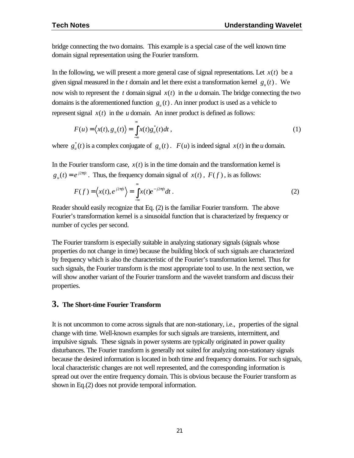bridge connecting the two domains. This example is a special case of the well known time domain signal representation using the Fourier transform.

In the following, we will present a more general case of signal representations. Let  $x(t)$  be a given signal measured in the *t* domain and let there exist a transformation kernel  $g_u(t)$ . We now wish to represent the  $t$  domain signal  $x(t)$  in the  $u$  domain. The bridge connecting the two domains is the aforementioned function  $g<sub>u</sub>(t)$ . An inner product is used as a vehicle to represent signal  $x(t)$  in the *u* domain. An inner product is defined as follows:

$$
F(u) = \langle x(t), g_u(t) \rangle = \int_{-\infty}^{\infty} x(t) g_u^*(t) dt , \qquad (1)
$$

where  $g_u^*(t)$  is a complex conjugate of  $g_u(t)$ .  $F(u)$  is indeed signal  $x(t)$  in the *u* domain.

In the Fourier transform case,  $x(t)$  is in the time domain and the transformation kernel is  $g_u(t) = e^{j2pt}$ . Thus, the frequency domain signal of *x*(*t*), *F*(*f*), is as follows:

$$
F(f) = \left\langle x(t), e^{j2pf} \right\rangle = \int_{-\infty}^{\infty} x(t)e^{-j2pf} dt.
$$
 (2)

Reader should easily recognize that Eq. (2) is the familiar Fourier transform. The above Fourier's transformation kernel is a sinusoidal function that is characterized by frequency or number of cycles per second.

The Fourier transform is especially suitable in analyzing stationary signals (signals whose properties do not change in time) because the building block of such signals are characterized by frequency which is also the characteristic of the Fourier's transformation kernel. Thus for such signals, the Fourier transform is the most appropriate tool to use. In the next section, we will show another variant of the Fourier transform and the wavelet transform and discuss their properties.

#### **3. The Short-time Fourier Transform**

It is not uncommon to come across signals that are non-stationary, i.e., properties of the signal change with time. Well-known examples for such signals are transients, intermittent, and impulsive signals. These signals in power systems are typically originated in power quality disturbances. The Fourier transform is generally not suited for analyzing non-stationary signals because the desired information is located in both time and frequency domains. For such signals, local characteristic changes are not well represented, and the corresponding information is spread out over the entire frequency domain. This is obvious because the Fourier transform as shown in Eq.(2) does not provide temporal information.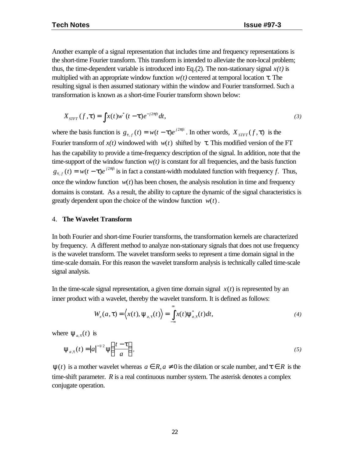Another example of a signal representation that includes time and frequency representations is the short-time Fourier transform. This transform is intended to alleviate the non-local problem; thus, the time-dependent variable is introduced into Eq.(2). The non-stationary signal  $x(t)$  is multiplied with an appropriate window function  $w(t)$  centered at temporal location  $\tau$ . The resulting signal is then assumed stationary within the window and Fourier transformed. Such a transformation is known as a short-time Fourier transform shown below:

$$
X_{STFT}(f, \boldsymbol{t}) = \int x(t)w^*(t-\boldsymbol{t})e^{-j2\boldsymbol{p}ft}dt,
$$
\n(3)

where the basis function is  $g_{t,f}(t) = w(t - t)e^{j2pt}$ *t*  $\mathbf{y}_f(t) = w(t - t)e^{j2\pi t}$ . In other words,  $X_{STFT}(f, t)$  is the Fourier transform of  $x(t)$  windowed with  $w(t)$  shifted by τ. This modified version of the FT has the capability to provide a time-frequency description of the signal. In addition, note that the time-support of the window function  $w(t)$  is constant for all frequencies, and the basis function  $g_{t,f}(t) = w(t - t)e^{j2pft}$ *t*  $p_{f}(t) = w(t - t)e^{j2pft}$  is in fact a constant-width modulated function with frequency *f*. Thus, once the window function  $w(t)$  has been chosen, the analysis resolution in time and frequency domains is constant. As a result, the ability to capture the dynamic of the signal characteristics is greatly dependent upon the choice of the window function  $w(t)$ .

#### 4. **The Wavelet Transform**

In both Fourier and short-time Fourier transforms, the transformation kernels are characterized by frequency. A different method to analyze non-stationary signals that does not use frequency is the wavelet transform. The wavelet transform seeks to represent a time domain signal in the time-scale domain. For this reason the wavelet transform analysis is technically called time-scale signal analysis.

In the time-scale signal representation, a given time domain signal  $x(t)$  is represented by an inner product with a wavelet, thereby the wavelet transform. It is defined as follows:

$$
W_x(a,\tau) = \langle x(t), \psi_{a,\tau}(t) \rangle = \int_{-\infty}^{\infty} x(t) \psi_{a,\tau}^*(t) dt,
$$
\n(4)

where  $\Psi_{a,\tau}(t)$  is

$$
\Psi_{a,\tau}(t) = |a|^{-1/2} \Psi\left(\frac{t-\tau}{a}\right),\tag{5}
$$

 $\Psi(t)$  is a mother wavelet whereas  $a \in R$ ,  $a \neq 0$  is the dilation or scale number, and  $t \in R$  is the time-shift parameter. *R* is a real continuous number system. The asterisk denotes a complex conjugate operation.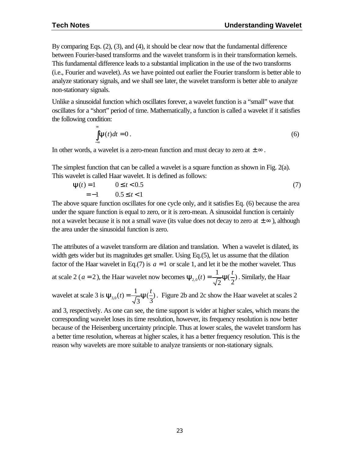By comparing Eqs. (2), (3), and (4), it should be clear now that the fundamental difference between Fourier-based transforms and the wavelet transform is in their transformation kernels. This fundamental difference leads to a substantial implication in the use of the two transforms (i.e., Fourier and wavelet). As we have pointed out earlier the Fourier transform is better able to analyze stationary signals, and we shall see later, the wavelet transform is better able to analyze non-stationary signals.

Unlike a sinusoidal function which oscillates forever, a wavelet function is a "small" wave that oscillates for a "short" period of time. Mathematically, a function is called a wavelet if it satisfies the following condition:

$$
\int_{-\infty}^{\infty} \mathbf{y}(t)dt = 0.
$$
 (6)

In other words, a wavelet is a zero-mean function and must decay to zero at  $\pm \infty$ .

The simplest function that can be called a wavelet is a square function as shown in Fig. 2(a). This wavelet is called Haar wavelet. It is defined as follows:

$$
\mathbf{y}(t) = 1 \qquad 0 \le t < 0.5
$$
  
= -1 \qquad 0.5 \le t < 1 \tag{7}

The above square function oscillates for one cycle only, and it satisfies Eq. (6) because the area under the square function is equal to zero, or it is zero-mean. A sinusoidal function is certainly not a wavelet because it is not a small wave (its value does not decay to zero at  $\pm \infty$ ), although the area under the sinusoidal function is zero.

The attributes of a wavelet transform are dilation and translation. When a wavelet is dilated, its width gets wider but its magnitudes get smaller. Using Eq. (5), let us assume that the dilation factor of the Haar wavelet in Eq.(7) is  $a = 1$  or scale 1, and let it be the mother wavelet. Thus at scale 2 ( $a = 2$ ), the Haar wavelet now becomes  $y_{a}(t) = \frac{1}{\sqrt{2}}y(\frac{1}{2})$ 2 ( 2 1  $t_{2,0}(t)$  $y_{2,0}(t) = \frac{1}{\sqrt{2}} y(\frac{t}{\epsilon})$ . Similarly, the Haar

wavelet at scale 3 is  $\mathbf{y}_{30}(t) = \frac{1}{\sqrt{2}} \mathbf{y}(\frac{t}{t})$ 3 ( 3  $\zeta_{3,0}(t) = \frac{1}{t}$  $y_{30}(t) = \frac{1}{\sqrt{t}} y(\frac{t}{t})$ . Figure 2b and 2c show the Haar wavelet at scales 2

and 3, respectively. As one can see, the time support is wider at higher scales, which means the corresponding wavelet loses its time resolution, however, its frequency resolution is now better because of the Heisenberg uncertainty principle. Thus at lower scales, the wavelet transform has a better time resolution, whereas at higher scales, it has a better frequency resolution. This is the reason why wavelets are more suitable to analyze transients or non-stationary signals.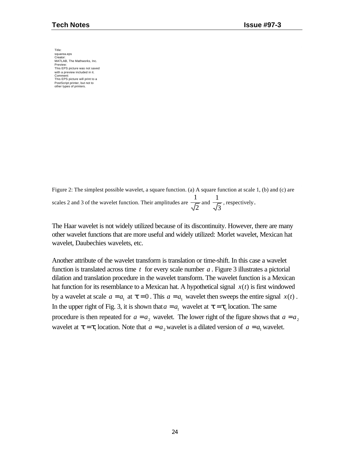Title: squarea.eps Creator: MATLAB, The Mathworks, Inc. Preview: This EPS picture was not saved with a preview included in it. Comment: This EPS picture will print to a PostScript printer, but not to other types of printers.

Figure 2: The simplest possible wavelet, a square function. (a) A square function at scale 1, (b) and (c) are scales 2 and 3 of the wavelet function. Their amplitudes are  $\frac{1}{\sqrt{2}}$  $\frac{1}{\sqrt{2}}$  and 3  $\frac{1}{\sqrt{1}}$ , respectively.

The Haar wavelet is not widely utilized because of its discontinuity. However, there are many other wavelet functions that are more useful and widely utilized: Morlet wavelet, Mexican hat wavelet, Daubechies wavelets, etc.

Another attribute of the wavelet transform is translation or time-shift. In this case a wavelet function is translated across time *t* for every scale number *a* . Figure 3 illustrates a pictorial dilation and translation procedure in the wavelet transform. The wavelet function is a Mexican hat function for its resemblance to a Mexican hat. A hypothetical signal *x*(*t*) is first windowed by a wavelet at scale  $a = a_1$  at  $t = 0$ . This  $a = a_1$  wavelet then sweeps the entire signal  $x(t)$ . In the upper right of Fig. 3, it is shown that  $a = a_1$  wavelet at  $\mathbf{t} = \mathbf{t}_0$  location. The same procedure is then repeated for  $a = a_2$  wavelet. The lower right of the figure shows that  $a = a_2$ wavelet at  $\boldsymbol{t} = \boldsymbol{t}_1$  location. Note that  $a = a_2$  wavelet is a dilated version of  $a = a_1$  wavelet.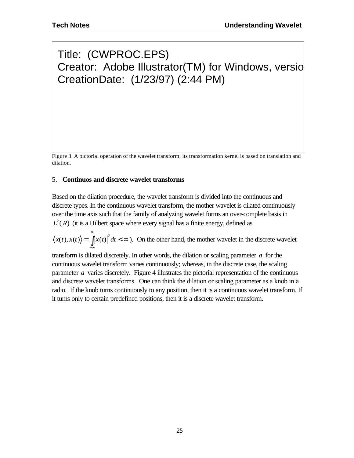# Title: (CWPROC.EPS) Creator: Adobe Illustrator(TM) for Windows, versio CreationDate: (1/23/97) (2:44 PM)

Figure 3. A pictorial operation of the wavelet transform; its transformation kernel is based on translation and dilation.

#### 5. **Continuos and discrete wavelet transforms**

Based on the dilation procedure, the wavelet transform is divided into the continuous and discrete types. In the continuous wavelet transform, the mother wavelet is dilated continuously over the time axis such that the family of analyzing wavelet forms an over-complete basis in  $L^2(R)$  (it is a Hilbert space where every signal has a finite energy, defined as

 $=\int |x(t)|^2 dt < \infty$  $\langle x(t), x(t) \rangle = \int_0^{\infty} |x(t)|^2 dt < \infty$ ). On the other hand, the mother wavelet in the discrete wavelet −∞

transform is dilated discretely. In other words, the dilation or scaling parameter *a* for the continuous wavelet transform varies continuously; whereas, in the discrete case, the scaling parameter *a* varies discretely. Figure 4 illustrates the pictorial representation of the continuous and discrete wavelet transforms. One can think the dilation or scaling parameter as a knob in a radio. If the knob turns continuously to any position, then it is a continuous wavelet transform. If it turns only to certain predefined positions, then it is a discrete wavelet transform.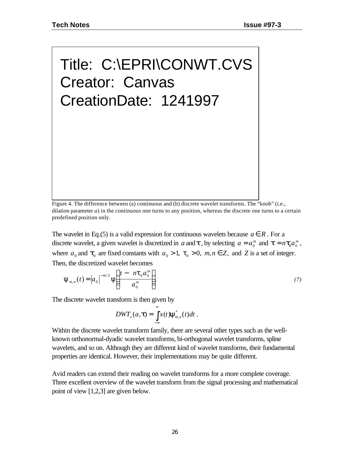# Title: C:\EPRI\CONWT.CVS Creator: Canvas CreationDate: 1241997

Figure 4. The difference between (a) continuous and (b) discrete wavelet transforms. The "knob" (i.e., dilation parameter  $a$ ) in the continuous one turns to any position, whereas the discrete one turns to a certain predefined position only.

The wavelet in Eq.(5) is a valid expression for continuous wavelets because  $a \in R$ . For a discrete wavelet, a given wavelet is discretized in *a* and **t**, by selecting  $a = a_0^m$  and  $\mathbf{t} = n \mathbf{t}_0 a_0^m$  $a_0^m$ , where  $a_0$  and  $t_0$  are fixed constants with  $a_0 > 1$ ,  $\tau_0 > 0$ ,  $m, n \in \mathbb{Z}$ , and  $\mathbb{Z}$  is a set of integer. Then, the discretized wavelet becomes

$$
\Psi_{m,n}(t) = |a_0|^{-m/2} \Psi\left(\frac{t - n\tau_0 a_0^m}{a_0^m}\right).
$$
\n(7)

The discrete wavelet transform is then given by

$$
DWT_{x}(a,\boldsymbol{t})=\int_{-\infty}^{\infty}x(t)\mathbf{y}_{m,n}^{*}(t)dt.
$$

Within the discrete wavelet transform family, there are several other types such as the wellknown orthonormal-dyadic wavelet transforms, bi-orthogonal wavelet transforms, spline wavelets, and so on. Although they are different kind of wavelet transforms, their fundamental properties are identical. However, their implementations may be quite different.

Avid readers can extend their reading on wavelet transforms for a more complete coverage. Three excellent overview of the wavelet transform from the signal processing and mathematical point of view [1,2,3] are given below.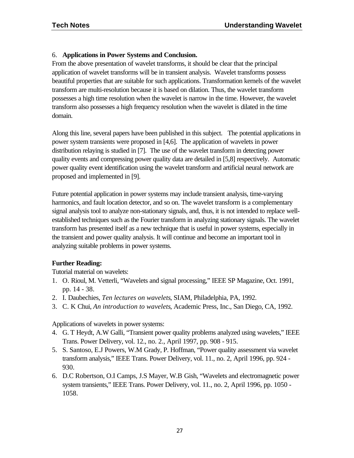#### 6. **Applications in Power Systems and Conclusion.**

From the above presentation of wavelet transforms, it should be clear that the principal application of wavelet transforms will be in transient analysis. Wavelet transforms possess beautiful properties that are suitable for such applications. Transformation kernels of the wavelet transform are multi-resolution because it is based on dilation. Thus, the wavelet transform possesses a high time resolution when the wavelet is narrow in the time. However, the wavelet transform also possesses a high frequency resolution when the wavelet is dilated in the time domain.

Along this line, several papers have been published in this subject. The potential applications in power system transients were proposed in [4,6]. The application of wavelets in power distribution relaying is studied in [7]. The use of the wavelet transform in detecting power quality events and compressing power quality data are detailed in [5,8] respectively. Automatic power quality event identification using the wavelet transform and artificial neural network are proposed and implemented in [9].

Future potential application in power systems may include transient analysis, time-varying harmonics, and fault location detector, and so on. The wavelet transform is a complementary signal analysis tool to analyze non-stationary signals, and, thus, it is not intended to replace wellestablished techniques such as the Fourier transform in analyzing stationary signals. The wavelet transform has presented itself as a new technique that is useful in power systems, especially in the transient and power quality analysis. It will continue and become an important tool in analyzing suitable problems in power systems.

#### **Further Reading:**

Tutorial material on wavelets:

- 1. O. Rioul, M. Vetterli, "Wavelets and signal processing," IEEE SP Magazine, Oct. 1991, pp. 14 - 38.
- 2. I. Daubechies, *Ten lectures on wavelets*, SIAM, Philadelphia, PA, 1992.
- 3. C. K Chui, *An introduction to wavelets*, Academic Press, Inc., San Diego, CA, 1992.

Applications of wavelets in power systems:

- 4. G. T Heydt, A.W Galli, "Transient power quality problems analyzed using wavelets," IEEE Trans. Power Delivery, vol. 12., no. 2., April 1997, pp. 908 - 915.
- 5. S. Santoso, E.J Powers, W.M Grady, P. Hoffman, "Power quality assessment via wavelet transform analysis," IEEE Trans. Power Delivery, vol. 11., no. 2, April 1996, pp. 924 - 930.
- 6. D.C Robertson, O.I Camps, J.S Mayer, W.B Gish, "Wavelets and electromagnetic power system transients," IEEE Trans. Power Delivery, vol. 11., no. 2, April 1996, pp. 1050 - 1058.